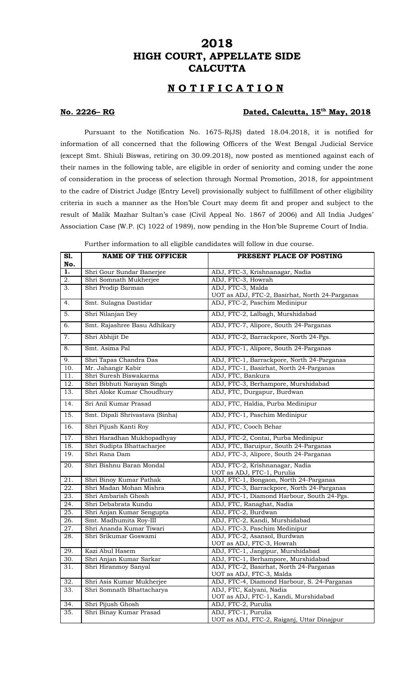## **2018 HIGH COURT, APPELLATE SIDE CALCUTTA**

## **N O T I F I C A T I O N**

#### **No. 2226– RG Dated, Calcutta, 15th May, 2018**

Pursuant to the Notification No. 1675-R(JS) dated 18.04.2018, it is notified for information of all concerned that the following Officers of the West Bengal Judicial Service (except Smt. Shiuli Biswas, retiring on 30.09.2018), now posted as mentioned against each of their names in the following table, are eligible in order of seniority and coming under the zone of consideration in the process of selection through Normal Promotion, 2018, for appointment to the cadre of District Judge (Entry Level) provisionally subject to fulfillment of other eligibility criteria in such a manner as the Hon'ble Court may deem fit and proper and subject to the result of Malik Mazhar Sultan's case (Civil Appeal No. 1867 of 2006) and All India Judges' Association Case (W.P. (C) 1022 of 1989), now pending in the Hon'ble Supreme Court of India.

| S1.<br>No.        | <b>NAME OF THE OFFICER</b>      | PRESENT PLACE OF POSTING                                            |
|-------------------|---------------------------------|---------------------------------------------------------------------|
| $\overline{1}$ .  | Shri Gour Sundar Banerjee       | ADJ, FTC-3, Krishnanagar, Nadia                                     |
| $\overline{2}$ .  | Shri Somnath Mukherjee          | ADJ, FTC-3, Howrah                                                  |
| $\overline{3}$ .  | Shri Prodip Barman              | ADJ, FTC-3, Malda<br>UOT as ADJ, FTC-2, Basirhat, North 24-Parganas |
| $\overline{4}$ .  | Smt. Sulagna Dastidar           | ADJ, FTC-2, Paschim Medinipur                                       |
| $\overline{5}$ .  | Shri Nilanjan Dey               | ADJ, FTC-2, Lalbagh, Murshidabad                                    |
| 6.                | Smt. Rajashree Basu Adhikary    | ADJ, FTC-7, Alipore, South 24-Parganas                              |
| 7.                | Shri Abhijit De                 | ADJ, FTC-2, Barrackpore, North 24-Pgs.                              |
| $\overline{8}$ .  | Smt. Asima Pal                  | ADJ, FTC-1, Alipore, South 24-Parganas                              |
| 9.                | Shri Tapas Chandra Das          | ADJ, FTC-1, Barrackpore, North 24-Parganas                          |
| 10.               | Mr. Jahangir Kabir              | ADJ, FTC-1, Basirhat, North 24-Parganas                             |
| $\overline{11}$ . | Shri Suresh Biswakarma          | ADJ, FTC, Bankura                                                   |
| 12.               | Shri Bibhuti Narayan Singh      | ADJ, FTC-3, Berhampore, Murshidabad                                 |
| 13.               | Shri Aloke Kumar Choudhury      | ADJ, FTC, Durgapur, Burdwan                                         |
| $\overline{14}$ . | Sri Anil Kumar Prasad           | ADJ, FTC, Haldia, Purba Medinipur                                   |
| $\overline{15}$ . | Smt. Dipali Shrivastava (Sinha) | ADJ, FTC-1, Paschim Medinipur                                       |
| 16.               | Shri Pijush Kanti Roy           | ADJ, FTC, Cooch Behar                                               |
| $\overline{17}$ . | Shri Haradhan Mukhopadhyay      | ADJ, FTC-2, Contai, Purba Medinipur                                 |
| 18.               | Shri Sudipta Bhattacharjee      | ADJ, FTC, Baruipur, South 24-Parganas                               |
| 19.               | Shri Rana Dam                   | ADJ, FTC-3, Alipore, South 24-Parganas                              |
| 20.               | Shri Bishnu Baran Mondal        | ADJ, FTC-2, Krishnanagar, Nadia<br>UOT as ADJ, FTC-1, Purulia       |
| 21.               | Shri Binoy Kumar Pathak         | ADJ, FTC-1, Bongaon, North 24-Parganas                              |
| $\overline{22}$ . | Shri Madan Mohan Mishra         | ADJ, FTC-3, Barrackpore, North 24-Parganas                          |
| 23.               | Shri Ambarish Ghosh             | ADJ, FTC-1, Diamond Harbour, South 24-Pgs.                          |
| $\overline{24}$ . | Shri Debabrata Kundu            | ADJ, FTC, Ranaghat, Nadia                                           |
| $\overline{25}$ . | Shri Anjan Kumar Sengupta       | ADJ, FTC-2, Burdwan                                                 |
| $\overline{26}$ . | Smt. Madhumita Roy-III          | ADJ, FTC-2, Kandi, Murshidabad                                      |
| 27.               | Shri Ananda Kumar Tiwari        | ADJ, FTC-3, Paschim Medinipur                                       |
| 28.               | Shri Srikumar Goswami           | ADJ, FTC-2, Asansol, Burdwan                                        |
| 29.               | Kazi Abul Hasem                 | UOT as ADJ, FTC-3, Howrah<br>ADJ, FTC-1, Jangipur, Murshidabad      |
| 30.               | Shri Anjan Kumar Sarkar         | ADJ, FTC-1, Berhampore, Murshidabad                                 |
|                   |                                 | ADJ, FTC-2, Basirhat, North 24-Parganas                             |
| 31.               | Shri Hiranmoy Sanyal            | UOT as ADJ, FTC-3, Malda                                            |
| 32.               | Shri Asis Kumar Mukherjee       | ADJ, FTC-4, Diamond Harbour, S. 24-Parganas                         |
| 33.               | Shri Somnath Bhattacharya       | ADJ, FTC, Kalyani, Nadia<br>UOT as ADJ, FTC-1, Kandi, Murshidabad   |
| 34.               | Shri Pijush Ghosh               | ADJ, FTC-2, Purulia                                                 |
| 35.               | Shri Binay Kumar Prasad         | ADJ, FTC-1, Purulia                                                 |
|                   |                                 | UOT as ADJ, FTC-2, Raiganj, Uttar Dinajpur                          |

Further information to all eligible candidates will follow in due course.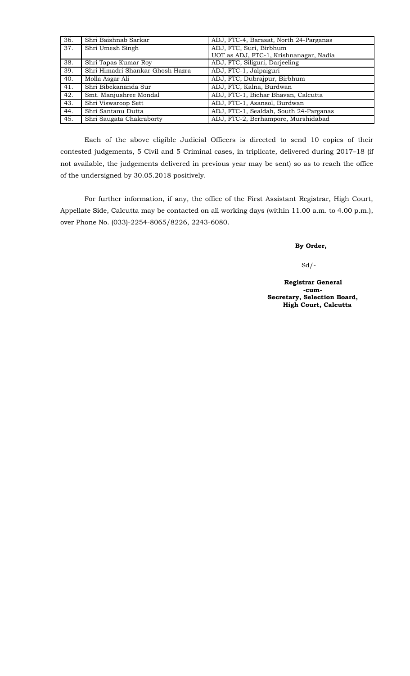| 36. | Shri Baishnab Sarkar             | ADJ, FTC-4, Barasat, North 24-Parganas |
|-----|----------------------------------|----------------------------------------|
| 37. | Shri Umesh Singh                 | ADJ, FTC, Suri, Birbhum                |
|     |                                  | UOT as ADJ, FTC-1, Krishnanagar, Nadia |
| 38. | Shri Tapas Kumar Roy             | ADJ, FTC, Siliguri, Darjeeling         |
| 39. | Shri Himadri Shankar Ghosh Hazra | ADJ, FTC-1, Jalpaiguri                 |
| 40. | Molla Asgar Ali                  | ADJ, FTC, Dubrajpur, Birbhum           |
| 41. | Shri Bibekananda Sur             | ADJ, FTC, Kalna, Burdwan               |
| 42. | Smt. Manjushree Mondal           | ADJ, FTC-1, Bichar Bhavan, Calcutta    |
| 43. | Shri Viswaroop Sett              | ADJ, FTC-1, Asansol, Burdwan           |
| 44. | Shri Santanu Dutta               | ADJ, FTC-1, Sealdah, South 24-Parganas |
| 45. | Shri Saugata Chakraborty         | ADJ, FTC-2, Berhampore, Murshidabad    |

Each of the above eligible Judicial Officers is directed to send 10 copies of their contested judgements, 5 Civil and 5 Criminal cases, in triplicate, delivered during 2017–18 (if not available, the judgements delivered in previous year may be sent) so as to reach the office of the undersigned by 30.05.2018 positively.

For further information, if any, the office of the First Assistant Registrar, High Court, Appellate Side, Calcutta may be contacted on all working days (within 11.00 a.m. to 4.00 p.m.), over Phone No. (033)-2254-8065/8226, 2243-6080.

#### **By Order,**

### Sd/-

 **Registrar General -cum- Secretary, Selection Board,**  $\alpha$  **High Court, Calcutta**